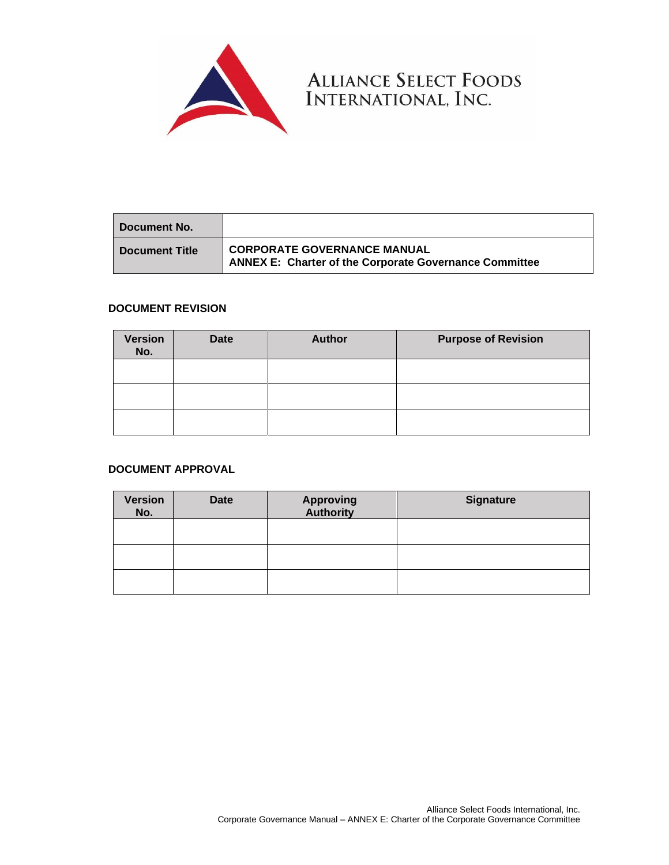

**Document No. Document Title CORPORATE GOVERNANCE MANUAL ANNEX E: Charter of the Corporate Governance Committee**

ALLIANCE SELECT FOODS<br>INTERNATIONAL, INC.

# **DOCUMENT REVISION**

| <b>Version</b><br>No. | <b>Date</b> | <b>Author</b> | <b>Purpose of Revision</b> |
|-----------------------|-------------|---------------|----------------------------|
|                       |             |               |                            |
|                       |             |               |                            |
|                       |             |               |                            |

# **DOCUMENT APPROVAL**

| <b>Version</b><br>No. | <b>Date</b> | <b>Approving</b><br><b>Authority</b> | <b>Signature</b> |
|-----------------------|-------------|--------------------------------------|------------------|
|                       |             |                                      |                  |
|                       |             |                                      |                  |
|                       |             |                                      |                  |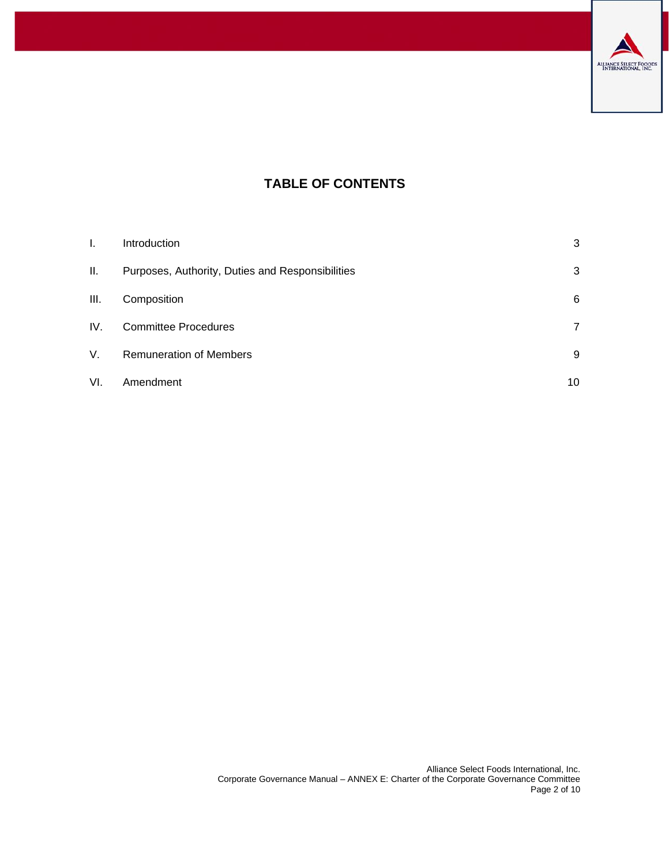

# **TABLE OF CONTENTS**

| L.  | Introduction                                     | 3  |
|-----|--------------------------------------------------|----|
| Ш.  | Purposes, Authority, Duties and Responsibilities | 3  |
| Ш.  | Composition                                      | 6  |
| IV. | <b>Committee Procedures</b>                      | 7  |
| V.  | <b>Remuneration of Members</b>                   | 9  |
| VI. | Amendment                                        | 10 |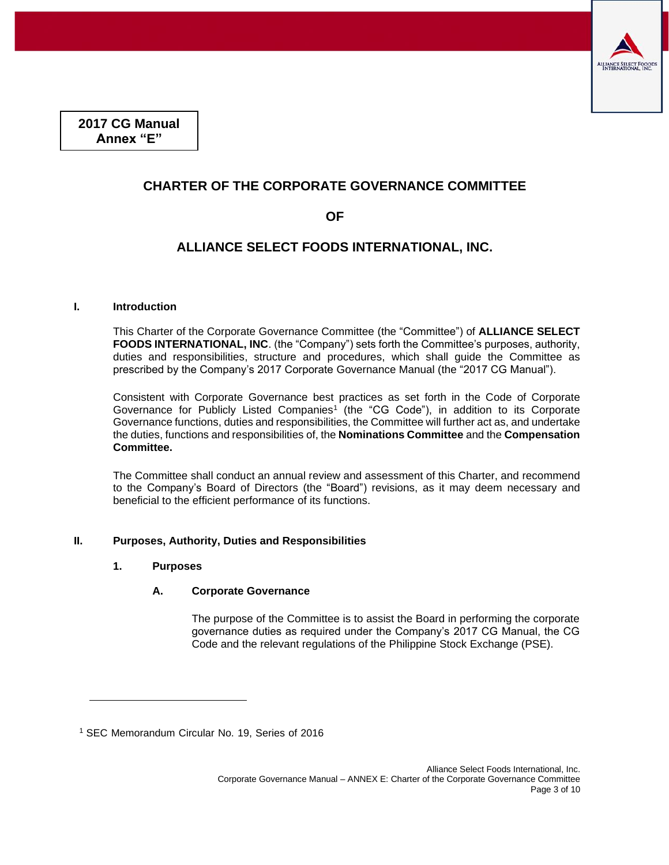

**2017 CG Manual Annex "E"**

# **CHARTER OF THE CORPORATE GOVERNANCE COMMITTEE**

# **OF**

# **ALLIANCE SELECT FOODS INTERNATIONAL, INC.**

# <span id="page-2-0"></span>**I. Introduction**

This Charter of the Corporate Governance Committee (the "Committee") of **ALLIANCE SELECT FOODS INTERNATIONAL, INC**. (the "Company") sets forth the Committee's purposes, authority, duties and responsibilities, structure and procedures, which shall guide the Committee as prescribed by the Company's 2017 Corporate Governance Manual (the "2017 CG Manual").

Consistent with Corporate Governance best practices as set forth in the Code of Corporate Governance for Publicly Listed Companies<sup>1</sup> (the "CG Code"), in addition to its Corporate Governance functions, duties and responsibilities, the Committee will further act as, and undertake the duties, functions and responsibilities of, the **Nominations Committee** and the **Compensation Committee.**

The Committee shall conduct an annual review and assessment of this Charter, and recommend to the Company's Board of Directors (the "Board") revisions, as it may deem necessary and beneficial to the efficient performance of its functions.

# <span id="page-2-1"></span>**II. Purposes, Authority, Duties and Responsibilities**

#### **1. Purposes**

# **A. Corporate Governance**

The purpose of the Committee is to assist the Board in performing the corporate governance duties as required under the Company's 2017 CG Manual, the CG Code and the relevant regulations of the Philippine Stock Exchange (PSE).

<sup>1</sup> SEC Memorandum Circular No. 19, Series of 2016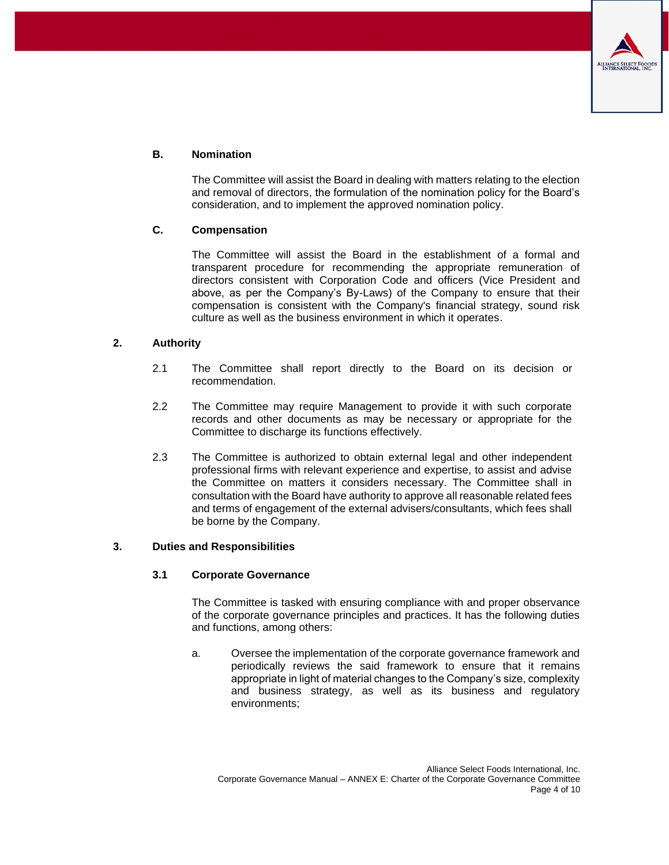

# **B. Nomination**

The Committee will assist the Board in dealing with matters relating to the election and removal of directors, the formulation of the nomination policy for the Board's consideration, and to implement the approved nomination policy.

# **C. Compensation**

The Committee will assist the Board in the establishment of a formal and transparent procedure for recommending the appropriate remuneration of directors consistent with Corporation Code and officers (Vice President and above, as per the Company's By-Laws) of the Company to ensure that their compensation is consistent with the Company's financial strategy, sound risk culture as well as the business environment in which it operates.

# **2. Authority**

- 2.1 The Committee shall report directly to the Board on its decision or recommendation.
- 2.2 The Committee may require Management to provide it with such corporate records and other documents as may be necessary or appropriate for the Committee to discharge its functions effectively.
- 2.3 The Committee is authorized to obtain external legal and other independent professional firms with relevant experience and expertise, to assist and advise the Committee on matters it considers necessary. The Committee shall in consultation with the Board have authority to approve all reasonable related fees and terms of engagement of the external advisers/consultants, which fees shall be borne by the Company.

#### **3. Duties and Responsibilities**

#### **3.1 Corporate Governance**

The Committee is tasked with ensuring compliance with and proper observance of the corporate governance principles and practices. It has the following duties and functions, among others:

a. Oversee the implementation of the corporate governance framework and periodically reviews the said framework to ensure that it remains appropriate in light of material changes to the Company's size, complexity and business strategy, as well as its business and regulatory environments;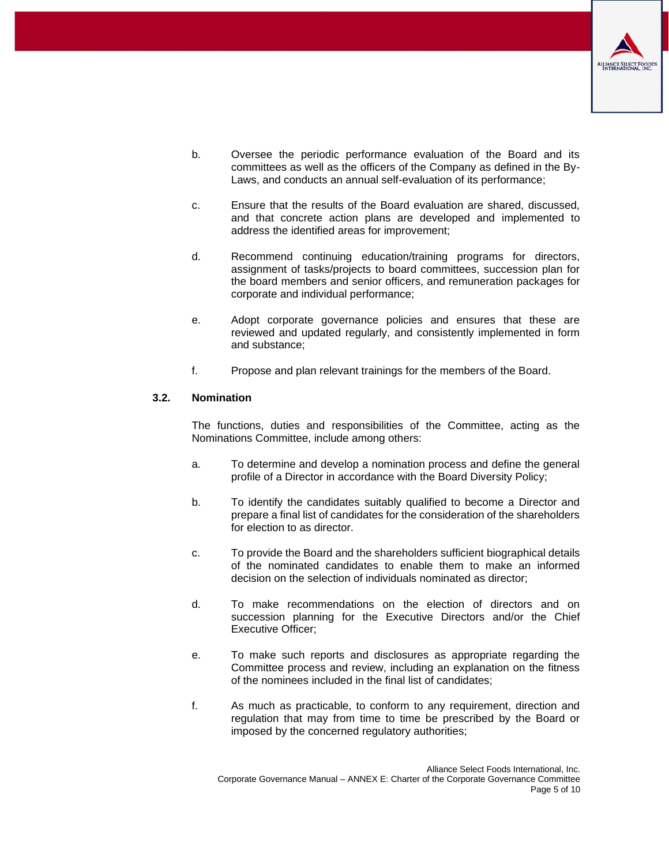

- b. Oversee the periodic performance evaluation of the Board and its committees as well as the officers of the Company as defined in the By-Laws, and conducts an annual self-evaluation of its performance;
- c. Ensure that the results of the Board evaluation are shared, discussed, and that concrete action plans are developed and implemented to address the identified areas for improvement;
- d. Recommend continuing education/training programs for directors, assignment of tasks/projects to board committees, succession plan for the board members and senior officers, and remuneration packages for corporate and individual performance;
- e. Adopt corporate governance policies and ensures that these are reviewed and updated regularly, and consistently implemented in form and substance;
- f. Propose and plan relevant trainings for the members of the Board.

#### **3.2. Nomination**

The functions, duties and responsibilities of the Committee, acting as the Nominations Committee, include among others:

- a. To determine and develop a nomination process and define the general profile of a Director in accordance with the Board Diversity Policy;
- b. To identify the candidates suitably qualified to become a Director and prepare a final list of candidates for the consideration of the shareholders for election to as director.
- c. To provide the Board and the shareholders sufficient biographical details of the nominated candidates to enable them to make an informed decision on the selection of individuals nominated as director;
- d. To make recommendations on the election of directors and on succession planning for the Executive Directors and/or the Chief Executive Officer;
- e. To make such reports and disclosures as appropriate regarding the Committee process and review, including an explanation on the fitness of the nominees included in the final list of candidates;
- f. As much as practicable, to conform to any requirement, direction and regulation that may from time to time be prescribed by the Board or imposed by the concerned regulatory authorities;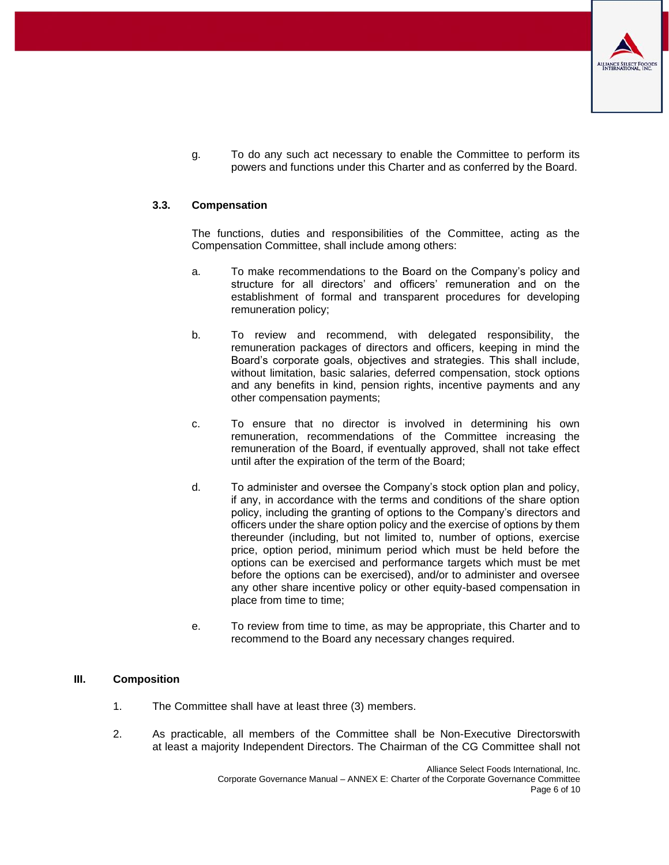

g. To do any such act necessary to enable the Committee to perform its powers and functions under this Charter and as conferred by the Board.

### **3.3. Compensation**

The functions, duties and responsibilities of the Committee, acting as the Compensation Committee, shall include among others:

- a. To make recommendations to the Board on the Company's policy and structure for all directors' and officers' remuneration and on the establishment of formal and transparent procedures for developing remuneration policy;
- b. To review and recommend, with delegated responsibility, the remuneration packages of directors and officers, keeping in mind the Board's corporate goals, objectives and strategies. This shall include, without limitation, basic salaries, deferred compensation, stock options and any benefits in kind, pension rights, incentive payments and any other compensation payments;
- c. To ensure that no director is involved in determining his own remuneration, recommendations of the Committee increasing the remuneration of the Board, if eventually approved, shall not take effect until after the expiration of the term of the Board;
- d. To administer and oversee the Company's stock option plan and policy, if any, in accordance with the terms and conditions of the share option policy, including the granting of options to the Company's directors and officers under the share option policy and the exercise of options by them thereunder (including, but not limited to, number of options, exercise price, option period, minimum period which must be held before the options can be exercised and performance targets which must be met before the options can be exercised), and/or to administer and oversee any other share incentive policy or other equity-based compensation in place from time to time;
- e. To review from time to time, as may be appropriate, this Charter and to recommend to the Board any necessary changes required.

# <span id="page-5-0"></span>**III. Composition**

- 1. The Committee shall have at least three (3) members.
- 2. As practicable, all members of the Committee shall be Non-Executive Directorswith at least a majority Independent Directors. The Chairman of the CG Committee shall not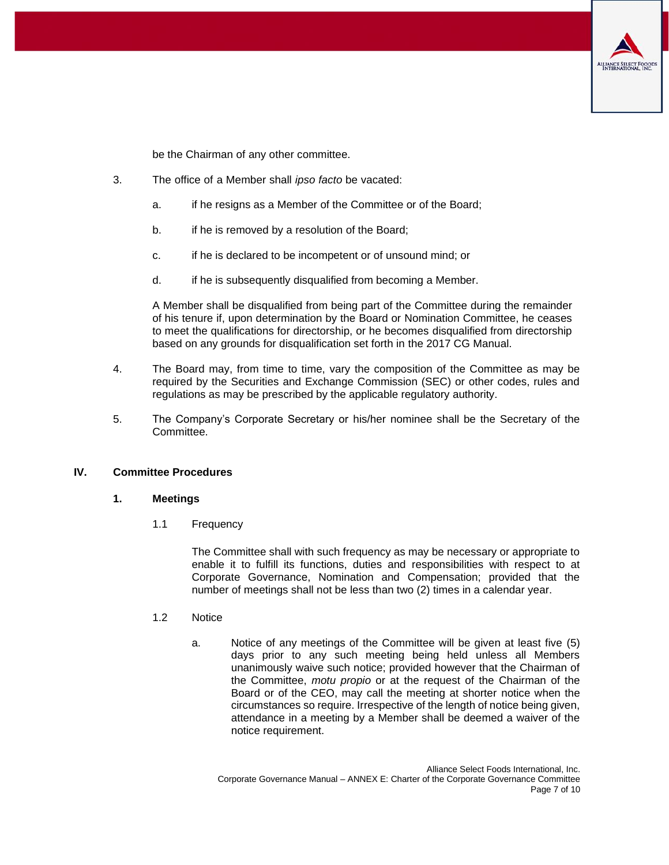

be the Chairman of any other committee.

- 3. The office of a Member shall *ipso facto* be vacated:
	- a. if he resigns as a Member of the Committee or of the Board;
	- b. if he is removed by a resolution of the Board;
	- c. if he is declared to be incompetent or of unsound mind; or
	- d. if he is subsequently disqualified from becoming a Member.

A Member shall be disqualified from being part of the Committee during the remainder of his tenure if, upon determination by the Board or Nomination Committee, he ceases to meet the qualifications for directorship, or he becomes disqualified from directorship based on any grounds for disqualification set forth in the 2017 CG Manual.

- 4. The Board may, from time to time, vary the composition of the Committee as may be required by the Securities and Exchange Commission (SEC) or other codes, rules and regulations as may be prescribed by the applicable regulatory authority.
- 5. The Company's Corporate Secretary or his/her nominee shall be the Secretary of the Committee.

# <span id="page-6-0"></span>**IV. Committee Procedures**

#### **1. Meetings**

1.1 Frequency

The Committee shall with such frequency as may be necessary or appropriate to enable it to fulfill its functions, duties and responsibilities with respect to at Corporate Governance, Nomination and Compensation; provided that the number of meetings shall not be less than two (2) times in a calendar year.

- 1.2 Notice
	- a. Notice of any meetings of the Committee will be given at least five (5) days prior to any such meeting being held unless all Members unanimously waive such notice; provided however that the Chairman of the Committee, *motu propio* or at the request of the Chairman of the Board or of the CEO, may call the meeting at shorter notice when the circumstances so require. Irrespective of the length of notice being given, attendance in a meeting by a Member shall be deemed a waiver of the notice requirement.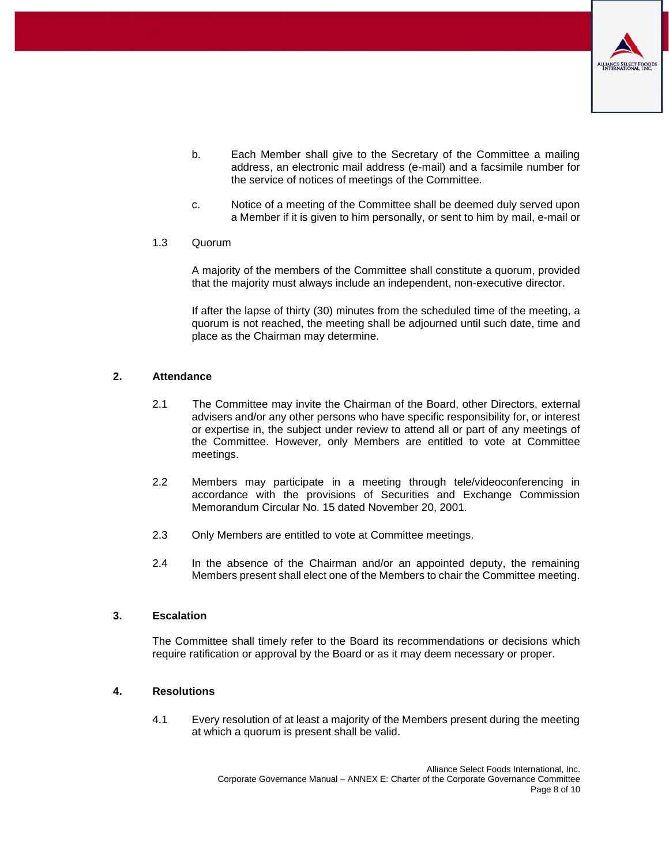

- b. Each Member shall give to the Secretary of the Committee a mailing address, an electronic mail address (e-mail) and a facsimile number for the service of notices of meetings of the Committee.
- c. Notice of a meeting of the Committee shall be deemed duly served upon a Member if it is given to him personally, or sent to him by mail, e-mail or

#### 1.3 Quorum

A majority of the members of the Committee shall constitute a quorum, provided that the majority must always include an independent, non-executive director.

If after the lapse of thirty (30) minutes from the scheduled time of the meeting, a quorum is not reached, the meeting shall be adjourned until such date, time and place as the Chairman may determine.

# **2. Attendance**

- 2.1 The Committee may invite the Chairman of the Board, other Directors, external advisers and/or any other persons who have specific responsibility for, or interest or expertise in, the subject under review to attend all or part of any meetings of the Committee. However, only Members are entitled to vote at Committee meetings.
- 2.2 Members may participate in a meeting through tele/videoconferencing in accordance with the provisions of Securities and Exchange Commission Memorandum Circular No. 15 dated November 20, 2001.
- 2.3 Only Members are entitled to vote at Committee meetings.
- 2.4 In the absence of the Chairman and/or an appointed deputy, the remaining Members present shall elect one of the Members to chair the Committee meeting.

#### **3. Escalation**

The Committee shall timely refer to the Board its recommendations or decisions which require ratification or approval by the Board or as it may deem necessary or proper.

#### **4. Resolutions**

4.1 Every resolution of at least a majority of the Members present during the meeting at which a quorum is present shall be valid.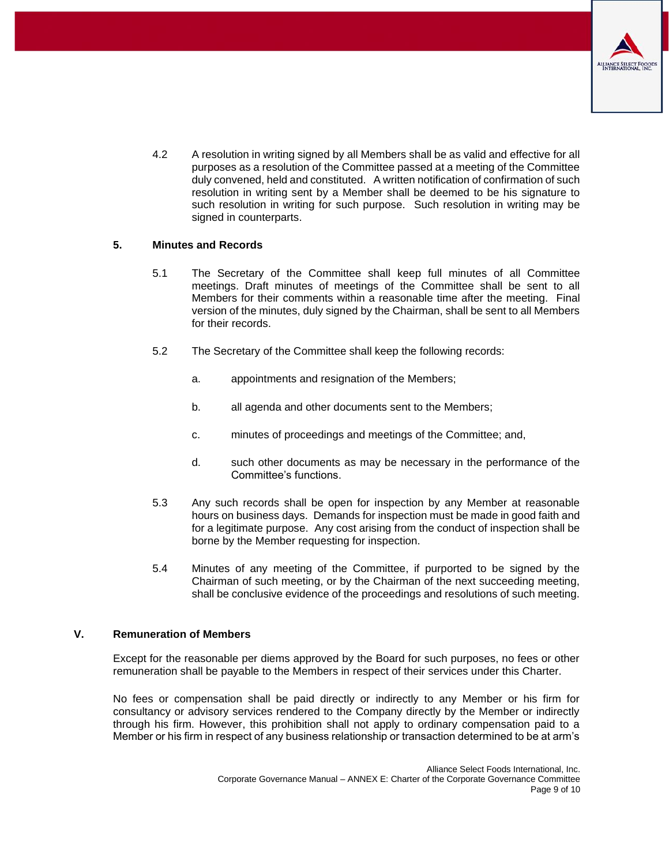

4.2 A resolution in writing signed by all Members shall be as valid and effective for all purposes as a resolution of the Committee passed at a meeting of the Committee duly convened, held and constituted. A written notification of confirmation of such resolution in writing sent by a Member shall be deemed to be his signature to such resolution in writing for such purpose. Such resolution in writing may be signed in counterparts.

# **5. Minutes and Records**

- 5.1 The Secretary of the Committee shall keep full minutes of all Committee meetings. Draft minutes of meetings of the Committee shall be sent to all Members for their comments within a reasonable time after the meeting. Final version of the minutes, duly signed by the Chairman, shall be sent to all Members for their records.
- 5.2 The Secretary of the Committee shall keep the following records:
	- a. appointments and resignation of the Members;
	- b. all agenda and other documents sent to the Members;
	- c. minutes of proceedings and meetings of the Committee; and,
	- d. such other documents as may be necessary in the performance of the Committee's functions.
- 5.3 Any such records shall be open for inspection by any Member at reasonable hours on business days. Demands for inspection must be made in good faith and for a legitimate purpose. Any cost arising from the conduct of inspection shall be borne by the Member requesting for inspection.
- 5.4 Minutes of any meeting of the Committee, if purported to be signed by the Chairman of such meeting, or by the Chairman of the next succeeding meeting, shall be conclusive evidence of the proceedings and resolutions of such meeting.

#### <span id="page-8-0"></span>**V. Remuneration of Members**

Except for the reasonable per diems approved by the Board for such purposes, no fees or other remuneration shall be payable to the Members in respect of their services under this Charter.

No fees or compensation shall be paid directly or indirectly to any Member or his firm for consultancy or advisory services rendered to the Company directly by the Member or indirectly through his firm. However, this prohibition shall not apply to ordinary compensation paid to a Member or his firm in respect of any business relationship or transaction determined to be at arm's